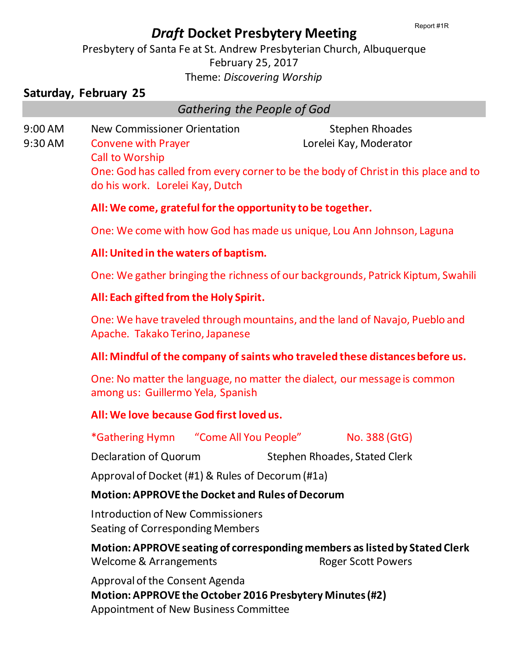# *Draft* **Docket Presbytery Meeting**

Presbytery of Santa Fe at St. Andrew Presbyterian Church, Albuquerque February 25, 2017 Theme: *Discovering Worship*

# **Saturday, February 25**

# *Gathering the People of God*

9:00 AM New Commissioner Orientation Stephen Rhoades 9:30 AM Convene with Prayer Lorelei Kay, Moderator Call to Worship One: God has called from every corner to be the body of Christ in this place and to do his work. Lorelei Kay, Dutch

# **All: We come, grateful for the opportunity to be together.**

One: We come with how God has made us unique, Lou Ann Johnson, Laguna

# **All: United in the waters of baptism.**

One: We gather bringing the richness of our backgrounds, Patrick Kiptum, Swahili

# **All: Each gifted from the Holy Spirit.**

One: We have traveled through mountains, and the land of Navajo, Pueblo and Apache. Takako Terino, Japanese

# **All: Mindful of the company of saints who traveled these distances before us.**

One: No matter the language, no matter the dialect, our message is common among us: Guillermo Yela, Spanish

# **All: We love because God first loved us.**

\*Gathering Hymn "Come All You People" No. 388 (GtG)

Declaration of Quorum Stephen Rhoades, Stated Clerk

Approval of Docket (#1) & Rules of Decorum (#1a)

# **Motion: APPROVE the Docket and Rules of Decorum**

Introduction of New Commissioners Seating of Corresponding Members

**Motion: APPROVE seating of corresponding members as listed by Stated Clerk** Welcome & Arrangements Roger Scott Powers

Approval of the Consent Agenda **Motion: APPROVE the October 2016 Presbytery Minutes(#2)** Appointment of New Business Committee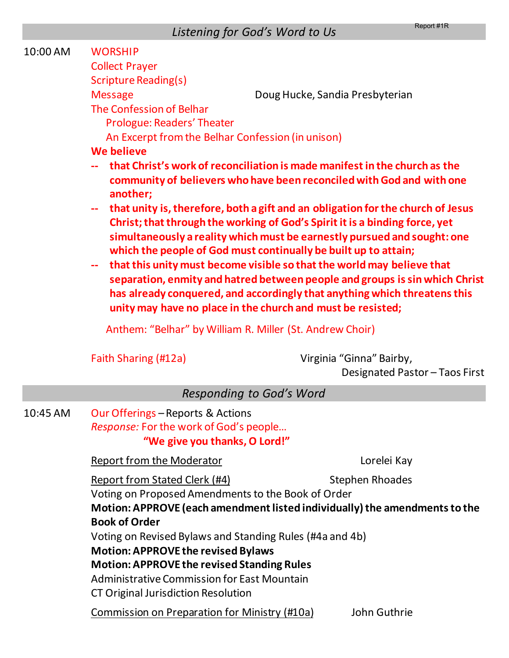| 10:00 AM | <b>WORSHIP</b>                                                                                                      |                                                                                                                                                                                                                                                                                                                  |  |  |
|----------|---------------------------------------------------------------------------------------------------------------------|------------------------------------------------------------------------------------------------------------------------------------------------------------------------------------------------------------------------------------------------------------------------------------------------------------------|--|--|
|          | <b>Collect Prayer</b>                                                                                               |                                                                                                                                                                                                                                                                                                                  |  |  |
|          | <b>Scripture Reading(s)</b>                                                                                         |                                                                                                                                                                                                                                                                                                                  |  |  |
|          | <b>Message</b>                                                                                                      | Doug Hucke, Sandia Presbyterian                                                                                                                                                                                                                                                                                  |  |  |
|          | The Confession of Belhar                                                                                            |                                                                                                                                                                                                                                                                                                                  |  |  |
|          | <b>Prologue: Readers' Theater</b>                                                                                   |                                                                                                                                                                                                                                                                                                                  |  |  |
|          | An Excerpt from the Belhar Confession (in unison)                                                                   |                                                                                                                                                                                                                                                                                                                  |  |  |
|          | <b>We believe</b>                                                                                                   |                                                                                                                                                                                                                                                                                                                  |  |  |
|          | another;<br>$\sim$ $\sim$                                                                                           | that Christ's work of reconciliation is made manifest in the church as the<br>community of believers who have been reconciled with God and with one<br>that unity is, therefore, both a gift and an obligation for the church of Jesus                                                                           |  |  |
|          | which the people of God must continually be built up to attain;<br>$\overline{\phantom{a}}$                         | Christ; that through the working of God's Spirit it is a binding force, yet<br>simultaneously a reality which must be earnestly pursued and sought: one<br>that this unity must become visible so that the world may believe that<br>separation, enmity and hatred between people and groups is sin which Christ |  |  |
|          | unity may have no place in the church and must be resisted;                                                         | has already conquered, and accordingly that anything which threatens this                                                                                                                                                                                                                                        |  |  |
|          | Anthem: "Belhar" by William R. Miller (St. Andrew Choir)                                                            |                                                                                                                                                                                                                                                                                                                  |  |  |
|          | Faith Sharing (#12a)                                                                                                | Virginia "Ginna" Bairby,<br>Designated Pastor - Taos First                                                                                                                                                                                                                                                       |  |  |
|          | <b>Responding to God's Word</b>                                                                                     |                                                                                                                                                                                                                                                                                                                  |  |  |
| 10:45 AM | Our Offerings - Reports & Actions<br><i>Response:</i> For the work of God's people<br>"We give you thanks, O Lord!" |                                                                                                                                                                                                                                                                                                                  |  |  |
|          | <b>Report from the Moderator</b>                                                                                    | Lorelei Kay                                                                                                                                                                                                                                                                                                      |  |  |
|          | <u>Report from Stated Clerk (#4)</u>                                                                                | <b>Stephen Rhoades</b>                                                                                                                                                                                                                                                                                           |  |  |
|          | Voting on Proposed Amendments to the Book of Order                                                                  |                                                                                                                                                                                                                                                                                                                  |  |  |
|          | Motion: APPROVE (each amendment listed individually) the amendments to the                                          |                                                                                                                                                                                                                                                                                                                  |  |  |
|          | <b>Book of Order</b>                                                                                                |                                                                                                                                                                                                                                                                                                                  |  |  |
|          | Voting on Revised Bylaws and Standing Rules (#4a and 4b)                                                            |                                                                                                                                                                                                                                                                                                                  |  |  |
|          | <b>Motion: APPROVE the revised Bylaws</b>                                                                           |                                                                                                                                                                                                                                                                                                                  |  |  |
|          | <b>Motion: APPROVE the revised Standing Rules</b><br><b>Administrative Commission for East Mountain</b>             |                                                                                                                                                                                                                                                                                                                  |  |  |
|          | CT Original Jurisdiction Resolution                                                                                 |                                                                                                                                                                                                                                                                                                                  |  |  |
|          |                                                                                                                     |                                                                                                                                                                                                                                                                                                                  |  |  |
|          | Commission on Preparation for Ministry (#10a)                                                                       | John Guthrie                                                                                                                                                                                                                                                                                                     |  |  |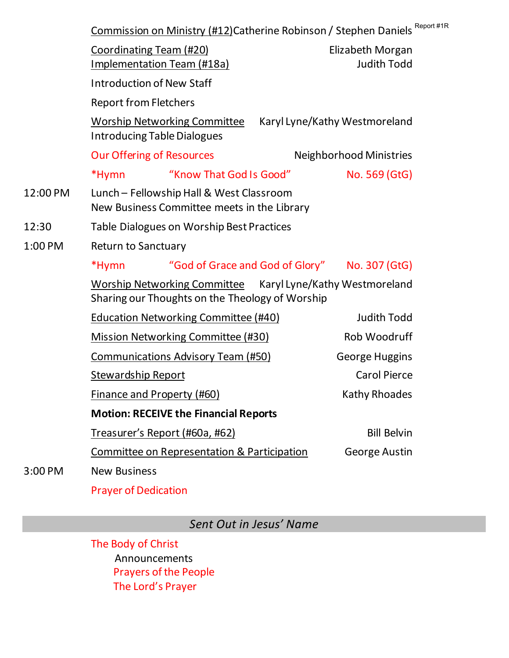|          | Commission on Ministry (#12)Catherine Robinson / Stephen Daniels Report                                       |                                        |  |  |
|----------|---------------------------------------------------------------------------------------------------------------|----------------------------------------|--|--|
|          | <b>Coordinating Team (#20)</b><br><b>Implementation Team (#18a)</b>                                           | Elizabeth Morgan<br><b>Judith Todd</b> |  |  |
|          | <b>Introduction of New Staff</b>                                                                              |                                        |  |  |
|          | <b>Report from Fletchers</b>                                                                                  |                                        |  |  |
|          | <b>Worship Networking Committee</b><br>Karyl Lyne/Kathy Westmoreland<br><b>Introducing Table Dialogues</b>    |                                        |  |  |
|          | <b>Our Offering of Resources</b>                                                                              | <b>Neighborhood Ministries</b>         |  |  |
|          | "Know That God Is Good"<br>*Hymn                                                                              | No. 569 (GtG)                          |  |  |
| 12:00 PM | Lunch - Fellowship Hall & West Classroom<br>New Business Committee meets in the Library                       |                                        |  |  |
| 12:30    | <b>Table Dialogues on Worship Best Practices</b>                                                              |                                        |  |  |
| 1:00 PM  | <b>Return to Sanctuary</b>                                                                                    |                                        |  |  |
|          | *Hymn<br>"God of Grace and God of Glory" No. 307 (GtG)                                                        |                                        |  |  |
|          | Worship Networking Committee Karyl Lyne/Kathy Westmoreland<br>Sharing our Thoughts on the Theology of Worship |                                        |  |  |
|          | <b>Education Networking Committee (#40)</b>                                                                   | <b>Judith Todd</b>                     |  |  |
|          | <b>Mission Networking Committee (#30)</b>                                                                     | Rob Woodruff                           |  |  |
|          | <b>Communications Advisory Team (#50)</b>                                                                     | <b>George Huggins</b>                  |  |  |
|          | <b>Stewardship Report</b>                                                                                     | <b>Carol Pierce</b>                    |  |  |
|          | <b>Finance and Property (#60)</b>                                                                             | <b>Kathy Rhoades</b>                   |  |  |
|          | <b>Motion: RECEIVE the Financial Reports</b>                                                                  |                                        |  |  |
|          | Treasurer's Report (#60a, #62)                                                                                | <b>Bill Belvin</b>                     |  |  |
|          | <b>Committee on Representation &amp; Participation</b>                                                        | George Austin                          |  |  |
| 3:00 PM  | <b>New Business</b>                                                                                           |                                        |  |  |

 $#1R$ 

Prayer of Dedication

*Sent Out in Jesus' Name*

The Body of Christ Announcements Prayers of the People The Lord's Prayer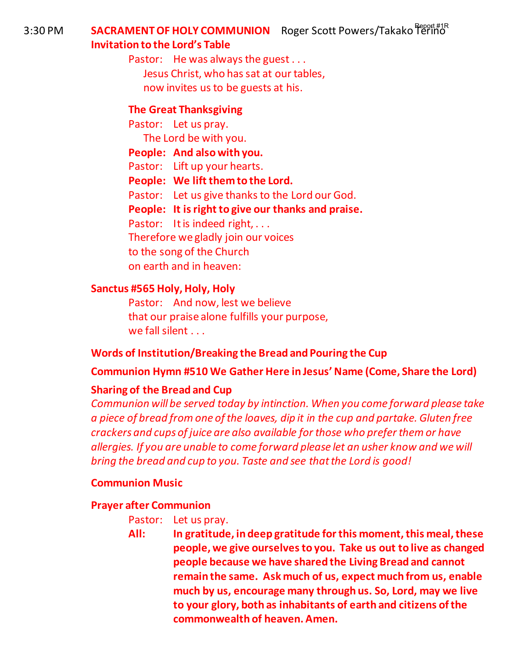3:30 PM **SACRAMENT OF HOLY COMMUNION** Roger Scott Powers/Takako f<sup>egert#1R</sup> **Invitation to the Lord's Table** 

> Pastor: He was always the guest . . . Jesus Christ, who has sat at our tables, now invites us to be guests at his.

# **The Great Thanksgiving**

Pastor: Let us pray. The Lord be with you. **People: And also with you.**  Pastor: Lift up your hearts. **People: We lift them to the Lord.**  Pastor: Let us give thanks to the Lord our God. **People: It is right to give our thanks and praise.**  Pastor: It is indeed right, ... Therefore we gladly join our voices to the song of the Church on earth and in heaven:

# **Sanctus #565 Holy, Holy, Holy**

Pastor: And now, lest we believe that our praise alone fulfills your purpose, we fall silent . . .

# **Words of Institution/Breaking the Bread and Pouring the Cup**

# **Communion Hymn #510 We Gather Here in Jesus' Name (Come, Share the Lord)**

# **Sharing of the Bread and Cup**

*Communion will be served today by intinction. When you come forward please take a piece of bread from one of the loaves, dip it in the cup and partake. Gluten free crackers and cups of juice are also available for those who prefer them or have allergies. If you are unable to come forward please let an usher know and we will bring the bread and cup to you. Taste and see that the Lord is good!* 

# **Communion Music**

# **Prayer after Communion**

- Pastor: Let us pray.
- **All: In gratitude, in deep gratitude for this moment, this meal, these people, we give ourselves to you. Take us out to live as changed people because we have shared the Living Bread and cannot remain the same. Ask much of us, expect much from us, enable much by us, encourage many through us. So, Lord, may we live to your glory, both as inhabitants of earth and citizens of the commonwealth of heaven. Amen.**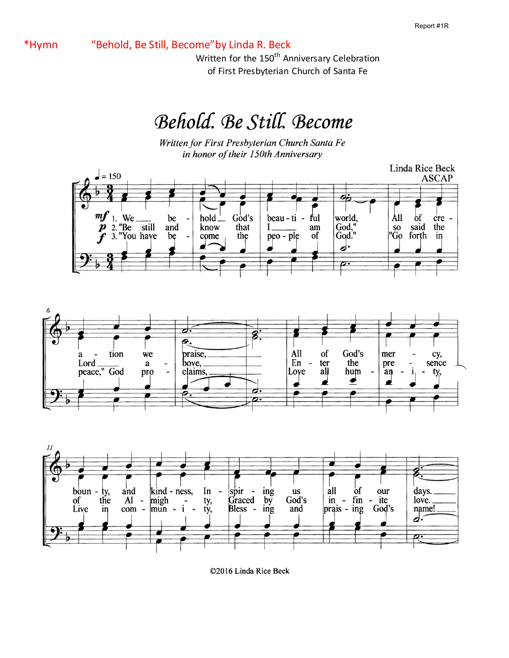\*Hymn "Behold, Be Still, Become"by Linda R. Beck

Written for the 150<sup>th</sup> Anniversary Celebration of First Presbyterian Church of Santa Fe

# Behold. Be Still. Become

Written for First Presbyterian Church Santa Fe in honor of their 150th Anniversary



©2016 Linda Rice Beck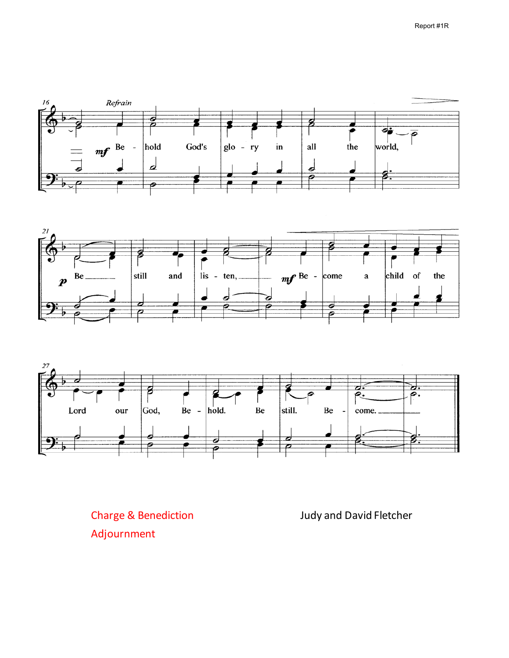





Charge & Benediction Judy and David Fletcher Adjournment